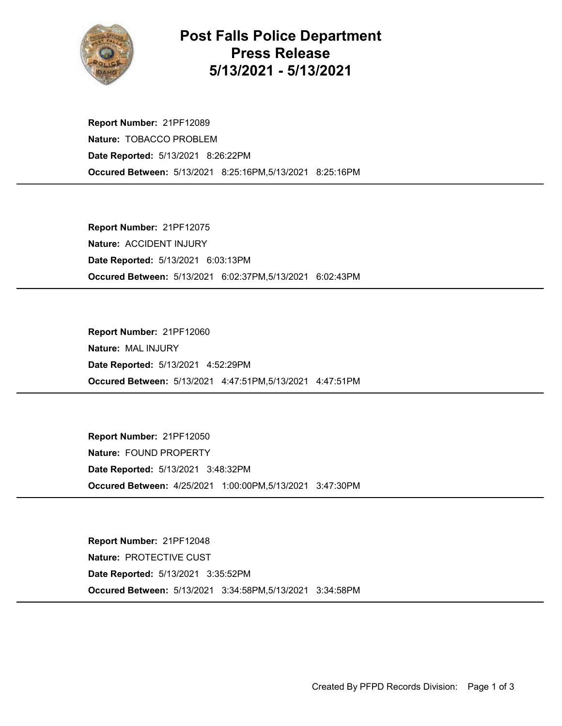

## Post Falls Police Department Press Release 5/13/2021 - 5/13/2021

Occured Between: 5/13/2021 8:25:16PM,5/13/2021 8:25:16PM Report Number: 21PF12089 Nature: TOBACCO PROBLEM Date Reported: 5/13/2021 8:26:22PM

Occured Between: 5/13/2021 6:02:37PM,5/13/2021 6:02:43PM Report Number: 21PF12075 Nature: ACCIDENT INJURY Date Reported: 5/13/2021 6:03:13PM

Occured Between: 5/13/2021 4:47:51PM,5/13/2021 4:47:51PM Report Number: 21PF12060 Nature: MAL INJURY Date Reported: 5/13/2021 4:52:29PM

Occured Between: 4/25/2021 1:00:00PM,5/13/2021 3:47:30PM Report Number: 21PF12050 Nature: FOUND PROPERTY Date Reported: 5/13/2021 3:48:32PM

Occured Between: 5/13/2021 3:34:58PM,5/13/2021 3:34:58PM Report Number: 21PF12048 Nature: PROTECTIVE CUST Date Reported: 5/13/2021 3:35:52PM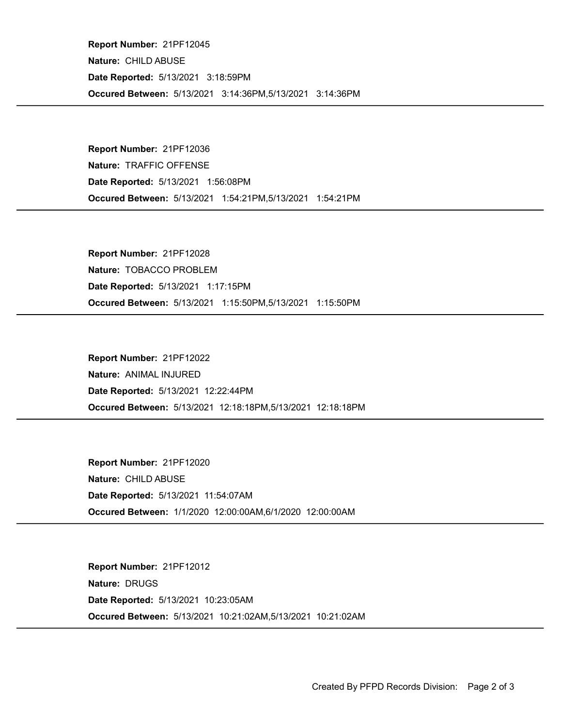Occured Between: 5/13/2021 3:14:36PM,5/13/2021 3:14:36PM Report Number: 21PF12045 Nature: CHILD ABUSE Date Reported: 5/13/2021 3:18:59PM

Occured Between: 5/13/2021 1:54:21PM,5/13/2021 1:54:21PM Report Number: 21PF12036 Nature: TRAFFIC OFFENSE Date Reported: 5/13/2021 1:56:08PM

Occured Between: 5/13/2021 1:15:50PM,5/13/2021 1:15:50PM Report Number: 21PF12028 Nature: TOBACCO PROBLEM Date Reported: 5/13/2021 1:17:15PM

Occured Between: 5/13/2021 12:18:18PM,5/13/2021 12:18:18PM Report Number: 21PF12022 Nature: ANIMAL INJURED Date Reported: 5/13/2021 12:22:44PM

Occured Between: 1/1/2020 12:00:00AM,6/1/2020 12:00:00AM Report Number: 21PF12020 Nature: CHILD ABUSE Date Reported: 5/13/2021 11:54:07AM

Occured Between: 5/13/2021 10:21:02AM,5/13/2021 10:21:02AM Report Number: 21PF12012 Nature: DRUGS Date Reported: 5/13/2021 10:23:05AM